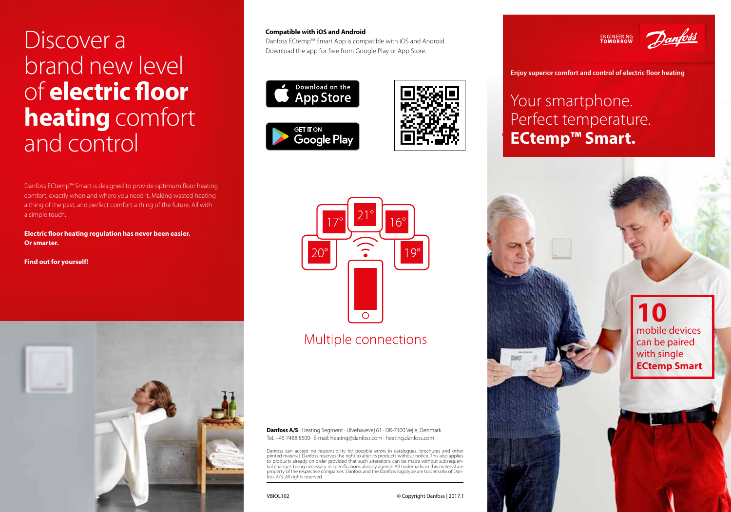# Discover a brand new level of **electric floor heating** comfort and control

Danfoss ECtemp™ Smart is designed to provide optimum floor heating comfort, exactly when and where you need it. Making wasted heating a thing of the past, and perfect comfort a thing of the future. All with a simple touch.

**Electric floor heating regulation has never been easier. Or smarter.** 

**Find out for yourself!** 



#### **Compatible with iOS and Android**

Danfoss ECtemp™ Smart App is compatible with iOS and Android. Download the app for free from Google Play or App Store.







## Multiple connections

**Danfoss A/S** · Heating Segment · Ulvehavevej 61 · DK-7100 Vejle, Denmark Tel. +45 7488 8500 · E-mail: heating@danfoss.com · heating.danfoss.com

Danfoss can accept no responsibility for possible errors in catalogues, brochures and other printed material. Danfoss reserves the right to alter its products without notice. This also applies to products already on order provided that such alterations can be made without subsequential changes being necessary in specifications already agreed. All trademarks in this material are property of the respective companies. Danfoss and the Danfoss logotype are trademarks of Dan-<br>foss A/S. All rights reserved.



**Enjoy superior comfort and control of electric floor heating**

## Your smartphone. Perfect temperature. **ECtemp™ Smart.**